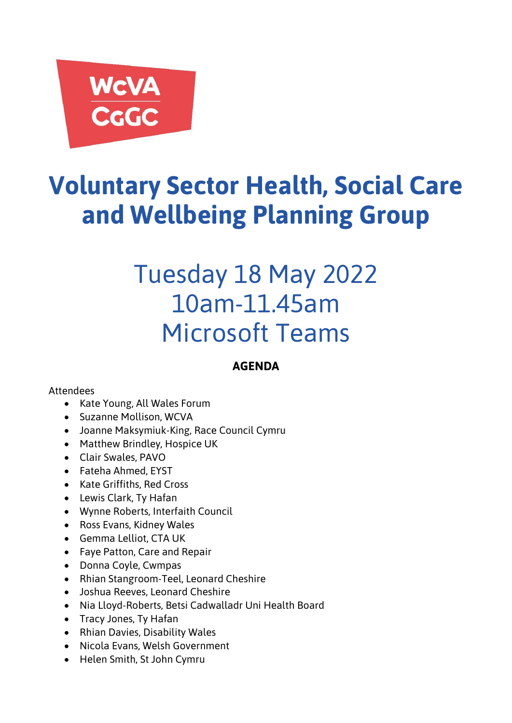# WCVA<br>CGGC

# **Voluntary Sector Health, Social Care and Wellbeing Planning Group**

# Tuesday 18 May 2022 10am-11.45am Microsoft Teams

# **AGENDA**

# Attendees

- Kate Young, All Wales Forum
- Suzanne Mollison, WCVA
- Joanne Maksymiuk-King, Race Council Cymru
- Matthew Brindley, Hospice UK
- Clair Swales, PAVO
- Fateha Ahmed, EYST
- Kate Griffiths, Red Cross
- Lewis Clark, Ty Hafan
- Wynne Roberts, Interfaith Council
- Ross Evans, Kidney Wales
- Gemma Lelliot, CTA UK
- Faye Patton, Care and Repair
- Donna Coyle, Cwmpas
- Rhian Stangroom-Teel, Leonard Cheshire
- Joshua Reeves, Leonard Cheshire
- Nia Lloyd-Roberts, Betsi Cadwalladr Uni Health Board
- Tracy Jones, Ty Hafan
- Rhian Davies, Disability Wales
- Nicola Evans, Welsh Government
- Helen Smith, St John Cymru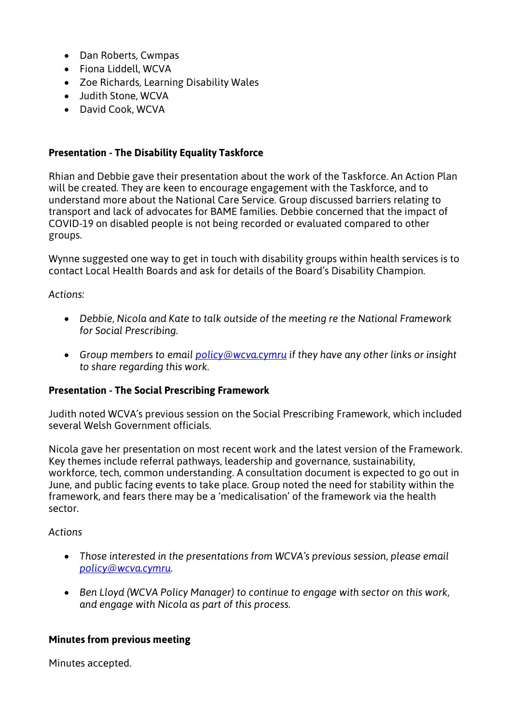- Dan Roberts, Cwmpas
- Fiona Liddell, WCVA
- Zoe Richards, Learning Disability Wales
- Judith Stone, WCVA
- David Cook, WCVA

# **Presentation - The Disability Equality Taskforce**

Rhian and Debbie gave their presentation about the work of the Taskforce. An Action Plan will be created. They are keen to encourage engagement with the Taskforce, and to understand more about the National Care Service. Group discussed barriers relating to transport and lack of advocates for BAME families. Debbie concerned that the impact of COVID-19 on disabled people is not being recorded or evaluated compared to other groups.

Wynne suggested one way to get in touch with disability groups within health services is to contact Local Health Boards and ask for details of the Board's Disability Champion.

## *Actions:*

- *Debbie, Nicola and Kate to talk outside of the meeting re the National Framework for Social Prescribing.*
- *Group members to email [policy@wcva.cymru](mailto:policy@wcva.cymru) if they have any other links or insight to share regarding this work.*

## **Presentation - The Social Prescribing Framework**

Judith noted WCVA's previous session on the Social Prescribing Framework, which included several Welsh Government officials.

Nicola gave her presentation on most recent work and the latest version of the Framework. Key themes include referral pathways, leadership and governance, sustainability, workforce, tech, common understanding. A consultation document is expected to go out in June, and public facing events to take place. Group noted the need for stability within the framework, and fears there may be a 'medicalisation' of the framework via the health sector.

## *Actions*

- *Those interested in the presentations from WCVA's previous session, please email [policy@wcva.cymru.](mailto:policy@wcva.cymru)*
- *Ben Lloyd (WCVA Policy Manager) to continue to engage with sector on this work, and engage with Nicola as part of this process.*

## **Minutes from previous meeting**

Minutes accepted.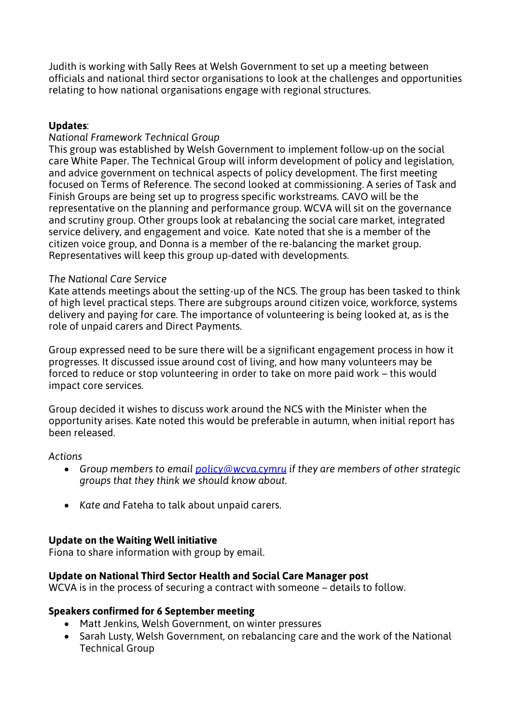Judith is working with Sally Rees at Welsh Government to set up a meeting between officials and national third sector organisations to look at the challenges and opportunities relating to how national organisations engage with regional structures.

# **Updates**:

# *National Framework Technical Group*

This group was established by Welsh Government to implement follow-up on the social care White Paper. The Technical Group will inform development of policy and legislation, and advice government on technical aspects of policy development. The first meeting focused on Terms of Reference. The second looked at commissioning. A series of Task and Finish Groups are being set up to progress specific workstreams. CAVO will be the representative on the planning and performance group. WCVA will sit on the governance and scrutiny group. Other groups look at rebalancing the social care market, integrated service delivery, and engagement and voice. Kate noted that she is a member of the citizen voice group, and Donna is a member of the re-balancing the market group. Representatives will keep this group up-dated with developments.

## *The National Care Service*

Kate attends meetings about the setting-up of the NCS. The group has been tasked to think of high level practical steps. There are subgroups around citizen voice, workforce, systems delivery and paying for care. The importance of volunteering is being looked at, as is the role of unpaid carers and Direct Payments.

Group expressed need to be sure there will be a significant engagement process in how it progresses. It discussed issue around cost of living, and how many volunteers may be forced to reduce or stop volunteering in order to take on more paid work – this would impact core services.

Group decided it wishes to discuss work around the NCS with the Minister when the opportunity arises. Kate noted this would be preferable in autumn, when initial report has been released.

## *Actions*

- *Group members to email [policy@wcva.cymru](mailto:policy@wcva.cymru) if they are members of other strategic groups that they think we should know about.*
- *Kate and* Fateha to talk about unpaid carers.

# **Update on the Waiting Well initiative**

Fiona to share information with group by email.

## **Update on National Third Sector Health and Social Care Manager post**

WCVA is in the process of securing a contract with someone – details to follow.

## **Speakers confirmed for 6 September meeting**

- Matt Jenkins, Welsh Government, on winter pressures
- Sarah Lusty, Welsh Government, on rebalancing care and the work of the National Technical Group